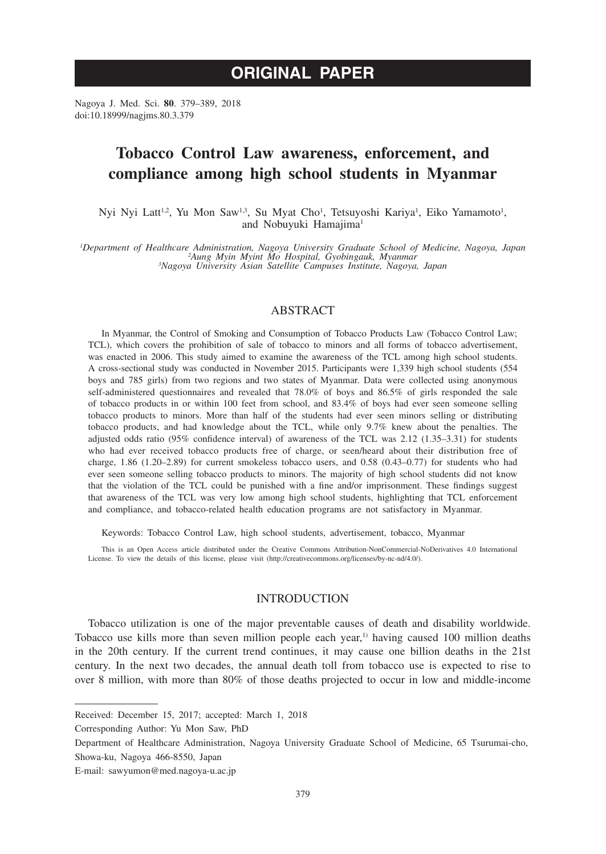# **ORIGINAL PAPER**

Nagoya J. Med. Sci. **80**. 379–389, 2018 doi:10.18999/nagjms.80.3.379

# **Tobacco Control Law awareness, enforcement, and compliance among high school students in Myanmar**

Nyi Nyi Latt<sup>1,2</sup>, Yu Mon Saw<sup>1,3</sup>, Su Myat Cho<sup>1</sup>, Tetsuyoshi Kariya<sup>1</sup>, Eiko Yamamoto<sup>1</sup>, and Nobuyuki Hamajima<sup>1</sup>

Department of Healthcare Administration, Nagoya University Graduate School of Medicine, Nagoya, Japan<sup>2</sup>Aung Myin Myint Mo Hospital, Gyobingauk, Myanmar<br><sup>3</sup>Nagoya University Asian Satellite Campuses Institute, Nagoya, Japa

## ABSTRACT

In Myanmar, the Control of Smoking and Consumption of Tobacco Products Law (Tobacco Control Law; TCL), which covers the prohibition of sale of tobacco to minors and all forms of tobacco advertisement, was enacted in 2006. This study aimed to examine the awareness of the TCL among high school students. A cross-sectional study was conducted in November 2015. Participants were 1,339 high school students (554 boys and 785 girls) from two regions and two states of Myanmar. Data were collected using anonymous self-administered questionnaires and revealed that 78.0% of boys and 86.5% of girls responded the sale of tobacco products in or within 100 feet from school, and 83.4% of boys had ever seen someone selling tobacco products to minors. More than half of the students had ever seen minors selling or distributing tobacco products, and had knowledge about the TCL, while only 9.7% knew about the penalties. The adjusted odds ratio (95% confidence interval) of awareness of the TCL was 2.12 (1.35–3.31) for students who had ever received tobacco products free of charge, or seen/heard about their distribution free of charge, 1.86 (1.20–2.89) for current smokeless tobacco users, and 0.58 (0.43–0.77) for students who had ever seen someone selling tobacco products to minors. The majority of high school students did not know that the violation of the TCL could be punished with a fine and/or imprisonment. These findings suggest that awareness of the TCL was very low among high school students, highlighting that TCL enforcement and compliance, and tobacco-related health education programs are not satisfactory in Myanmar.

Keywords: Tobacco Control Law, high school students, advertisement, tobacco, Myanmar

This is an Open Access article distributed under the Creative Commons Attribution-NonCommercial-NoDerivatives 4.0 International License. To view the details of this license, please visit (http://creativecommons.org/licenses/by-nc-nd/4.0/).

# INTRODUCTION

Tobacco utilization is one of the major preventable causes of death and disability worldwide. Tobacco use kills more than seven million people each year, $\frac{1}{1}$  having caused 100 million deaths in the 20th century. If the current trend continues, it may cause one billion deaths in the 21st century. In the next two decades, the annual death toll from tobacco use is expected to rise to over 8 million, with more than 80% of those deaths projected to occur in low and middle-income

Received: December 15, 2017; accepted: March 1, 2018

Corresponding Author: Yu Mon Saw, PhD

Department of Healthcare Administration, Nagoya University Graduate School of Medicine, 65 Tsurumai-cho, Showa-ku, Nagoya 466-8550, Japan

E-mail: sawyumon@med.nagoya-u.ac.jp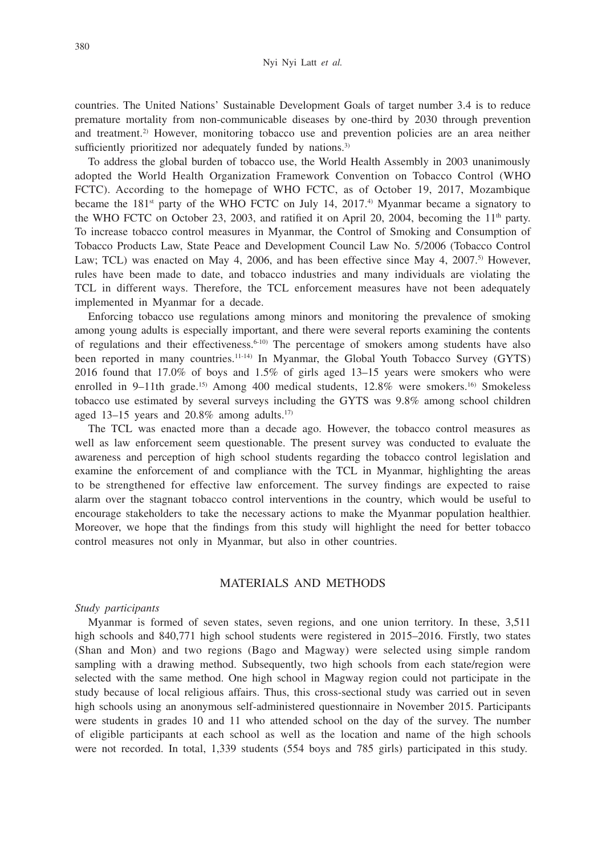countries. The United Nations' Sustainable Development Goals of target number 3.4 is to reduce premature mortality from non-communicable diseases by one-third by 2030 through prevention and treatment.2) However, monitoring tobacco use and prevention policies are an area neither sufficiently prioritized nor adequately funded by nations.<sup>3)</sup>

To address the global burden of tobacco use, the World Health Assembly in 2003 unanimously adopted the World Health Organization Framework Convention on Tobacco Control (WHO FCTC). According to the homepage of WHO FCTC, as of October 19, 2017, Mozambique became the  $181<sup>st</sup>$  party of the WHO FCTC on July 14, 2017.<sup>4</sup>) Myanmar became a signatory to the WHO FCTC on October 23, 2003, and ratified it on April 20, 2004, becoming the 11<sup>th</sup> party. To increase tobacco control measures in Myanmar, the Control of Smoking and Consumption of Tobacco Products Law, State Peace and Development Council Law No. 5/2006 (Tobacco Control Law; TCL) was enacted on May 4, 2006, and has been effective since May 4, 2007.<sup>5)</sup> However, rules have been made to date, and tobacco industries and many individuals are violating the TCL in different ways. Therefore, the TCL enforcement measures have not been adequately implemented in Myanmar for a decade.

Enforcing tobacco use regulations among minors and monitoring the prevalence of smoking among young adults is especially important, and there were several reports examining the contents of regulations and their effectiveness.6-10) The percentage of smokers among students have also been reported in many countries.<sup>11-14)</sup> In Myanmar, the Global Youth Tobacco Survey (GYTS) 2016 found that 17.0% of boys and 1.5% of girls aged 13–15 years were smokers who were enrolled in 9–11th grade.<sup>15)</sup> Among 400 medical students, 12.8% were smokers.<sup>16)</sup> Smokeless tobacco use estimated by several surveys including the GYTS was 9.8% among school children aged 13–15 years and  $20.8\%$  among adults.<sup>17)</sup>

The TCL was enacted more than a decade ago. However, the tobacco control measures as well as law enforcement seem questionable. The present survey was conducted to evaluate the awareness and perception of high school students regarding the tobacco control legislation and examine the enforcement of and compliance with the TCL in Myanmar, highlighting the areas to be strengthened for effective law enforcement. The survey findings are expected to raise alarm over the stagnant tobacco control interventions in the country, which would be useful to encourage stakeholders to take the necessary actions to make the Myanmar population healthier. Moreover, we hope that the findings from this study will highlight the need for better tobacco control measures not only in Myanmar, but also in other countries.

# MATERIALS AND METHODS

## *Study participants*

Myanmar is formed of seven states, seven regions, and one union territory. In these, 3,511 high schools and 840,771 high school students were registered in 2015–2016. Firstly, two states (Shan and Mon) and two regions (Bago and Magway) were selected using simple random sampling with a drawing method. Subsequently, two high schools from each state/region were selected with the same method. One high school in Magway region could not participate in the study because of local religious affairs. Thus, this cross-sectional study was carried out in seven high schools using an anonymous self-administered questionnaire in November 2015. Participants were students in grades 10 and 11 who attended school on the day of the survey. The number of eligible participants at each school as well as the location and name of the high schools were not recorded. In total, 1,339 students (554 boys and 785 girls) participated in this study.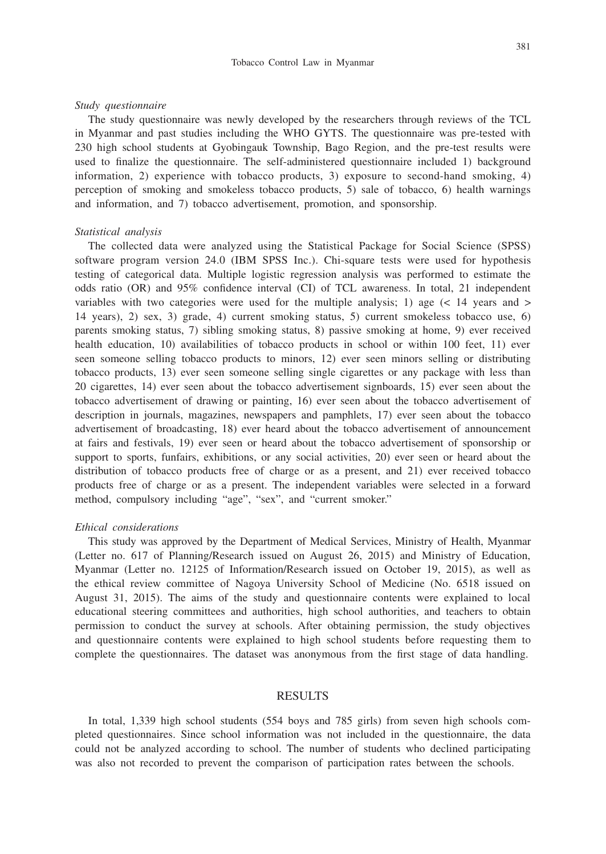#### *Study questionnaire*

The study questionnaire was newly developed by the researchers through reviews of the TCL in Myanmar and past studies including the WHO GYTS. The questionnaire was pre-tested with 230 high school students at Gyobingauk Township, Bago Region, and the pre-test results were used to finalize the questionnaire. The self-administered questionnaire included 1) background information, 2) experience with tobacco products, 3) exposure to second-hand smoking, 4) perception of smoking and smokeless tobacco products, 5) sale of tobacco, 6) health warnings and information, and 7) tobacco advertisement, promotion, and sponsorship.

### *Statistical analysis*

The collected data were analyzed using the Statistical Package for Social Science (SPSS) software program version 24.0 (IBM SPSS Inc.). Chi-square tests were used for hypothesis testing of categorical data. Multiple logistic regression analysis was performed to estimate the odds ratio (OR) and 95% confidence interval (CI) of TCL awareness. In total, 21 independent variables with two categories were used for the multiple analysis; 1) age  $(< 14$  years and  $>$ 14 years), 2) sex, 3) grade, 4) current smoking status, 5) current smokeless tobacco use, 6) parents smoking status, 7) sibling smoking status, 8) passive smoking at home, 9) ever received health education, 10) availabilities of tobacco products in school or within 100 feet, 11) ever seen someone selling tobacco products to minors, 12) ever seen minors selling or distributing tobacco products, 13) ever seen someone selling single cigarettes or any package with less than 20 cigarettes, 14) ever seen about the tobacco advertisement signboards, 15) ever seen about the tobacco advertisement of drawing or painting, 16) ever seen about the tobacco advertisement of description in journals, magazines, newspapers and pamphlets, 17) ever seen about the tobacco advertisement of broadcasting, 18) ever heard about the tobacco advertisement of announcement at fairs and festivals, 19) ever seen or heard about the tobacco advertisement of sponsorship or support to sports, funfairs, exhibitions, or any social activities, 20) ever seen or heard about the distribution of tobacco products free of charge or as a present, and 21) ever received tobacco products free of charge or as a present. The independent variables were selected in a forward method, compulsory including "age", "sex", and "current smoker."

#### *Ethical considerations*

This study was approved by the Department of Medical Services, Ministry of Health, Myanmar (Letter no. 617 of Planning/Research issued on August 26, 2015) and Ministry of Education, Myanmar (Letter no. 12125 of Information/Research issued on October 19, 2015), as well as the ethical review committee of Nagoya University School of Medicine (No. 6518 issued on August 31, 2015). The aims of the study and questionnaire contents were explained to local educational steering committees and authorities, high school authorities, and teachers to obtain permission to conduct the survey at schools. After obtaining permission, the study objectives and questionnaire contents were explained to high school students before requesting them to complete the questionnaires. The dataset was anonymous from the first stage of data handling.

## RESULTS

In total, 1,339 high school students (554 boys and 785 girls) from seven high schools completed questionnaires. Since school information was not included in the questionnaire, the data could not be analyzed according to school. The number of students who declined participating was also not recorded to prevent the comparison of participation rates between the schools.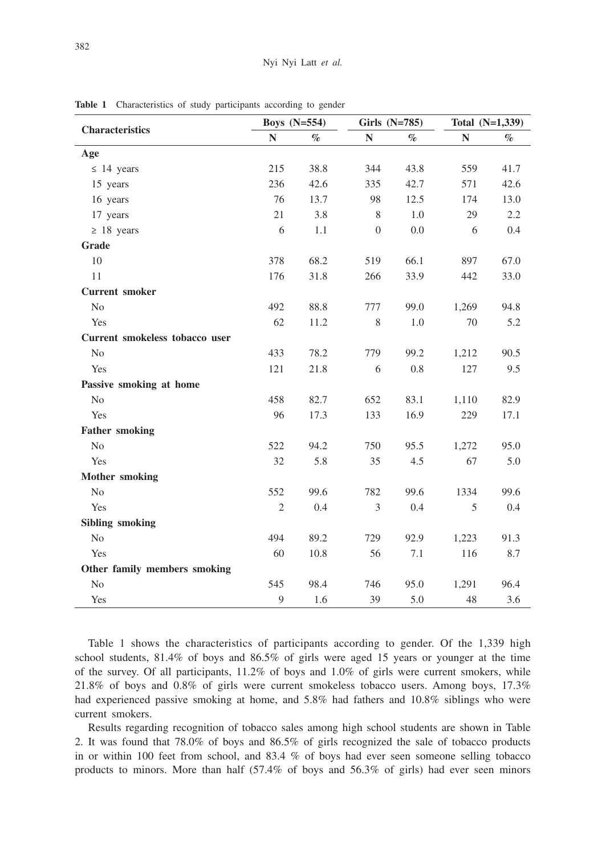| <b>Characteristics</b>         | <b>Boys</b> (N=554) |      | Girls (N=785) |      | Total (N=1,339) |      |
|--------------------------------|---------------------|------|---------------|------|-----------------|------|
|                                | N                   | $\%$ | $\mathbb N$   | $\%$ | $\mathbb{N}$    | $\%$ |
| Age                            |                     |      |               |      |                 |      |
| $\leq 14$ years                | 215                 | 38.8 | 344           | 43.8 | 559             | 41.7 |
| 15 years                       | 236                 | 42.6 | 335           | 42.7 | 571             | 42.6 |
| 16 years                       | 76                  | 13.7 | 98            | 12.5 | 174             | 13.0 |
| 17 years                       | 21                  | 3.8  | $\,$ 8 $\,$   | 1.0  | 29              | 2.2  |
| $\geq 18$ years                | 6                   | 1.1  | $\theta$      | 0.0  | 6               | 0.4  |
| Grade                          |                     |      |               |      |                 |      |
| 10                             | 378                 | 68.2 | 519           | 66.1 | 897             | 67.0 |
| 11                             | 176                 | 31.8 | 266           | 33.9 | 442             | 33.0 |
| <b>Current smoker</b>          |                     |      |               |      |                 |      |
| N <sub>0</sub>                 | 492                 | 88.8 | 777           | 99.0 | 1,269           | 94.8 |
| Yes                            | 62                  | 11.2 | 8             | 1.0  | 70              | 5.2  |
| Current smokeless tobacco user |                     |      |               |      |                 |      |
| N <sub>o</sub>                 | 433                 | 78.2 | 779           | 99.2 | 1,212           | 90.5 |
| Yes                            | 121                 | 21.8 | 6             | 0.8  | 127             | 9.5  |
| Passive smoking at home        |                     |      |               |      |                 |      |
| N <sub>o</sub>                 | 458                 | 82.7 | 652           | 83.1 | 1,110           | 82.9 |
| Yes                            | 96                  | 17.3 | 133           | 16.9 | 229             | 17.1 |
| <b>Father smoking</b>          |                     |      |               |      |                 |      |
| No                             | 522                 | 94.2 | 750           | 95.5 | 1,272           | 95.0 |
| Yes                            | 32                  | 5.8  | 35            | 4.5  | 67              | 5.0  |
| <b>Mother smoking</b>          |                     |      |               |      |                 |      |
| N <sub>o</sub>                 | 552                 | 99.6 | 782           | 99.6 | 1334            | 99.6 |
| Yes                            | $\mathfrak{2}$      | 0.4  | 3             | 0.4  | 5               | 0.4  |
| <b>Sibling smoking</b>         |                     |      |               |      |                 |      |
| N <sub>o</sub>                 | 494                 | 89.2 | 729           | 92.9 | 1,223           | 91.3 |
| Yes                            | 60                  | 10.8 | 56            | 7.1  | 116             | 8.7  |
| Other family members smoking   |                     |      |               |      |                 |      |
| $\rm No$                       | 545                 | 98.4 | 746           | 95.0 | 1,291           | 96.4 |
| Yes                            | 9                   | 1.6  | 39            | 5.0  | 48              | 3.6  |

**Table 1** Characteristics of study participants according to gender

Table 1 shows the characteristics of participants according to gender. Of the 1,339 high school students, 81.4% of boys and 86.5% of girls were aged 15 years or younger at the time of the survey. Of all participants, 11.2% of boys and 1.0% of girls were current smokers, while 21.8% of boys and 0.8% of girls were current smokeless tobacco users. Among boys, 17.3% had experienced passive smoking at home, and 5.8% had fathers and 10.8% siblings who were current smokers.

Results regarding recognition of tobacco sales among high school students are shown in Table 2. It was found that 78.0% of boys and 86.5% of girls recognized the sale of tobacco products in or within 100 feet from school, and 83.4 % of boys had ever seen someone selling tobacco products to minors. More than half (57.4% of boys and 56.3% of girls) had ever seen minors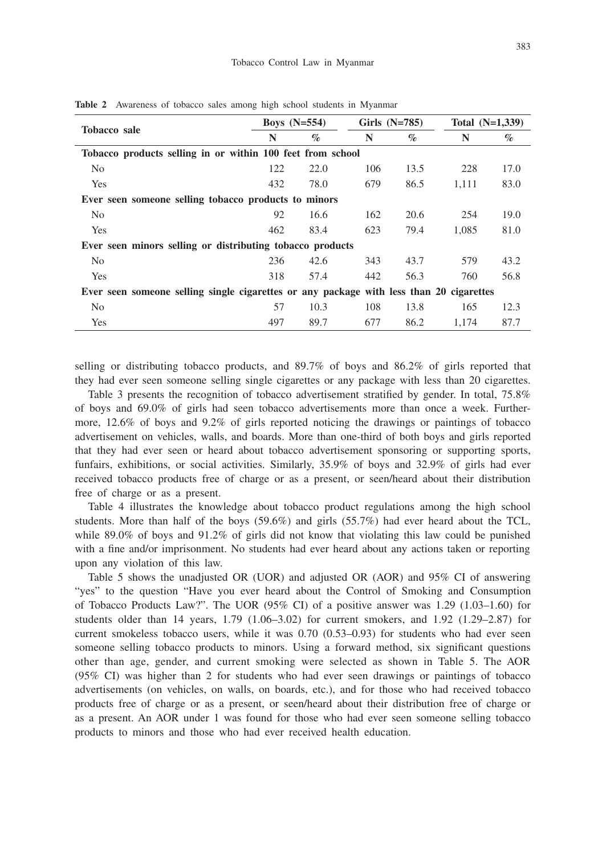|                                                                                         | Boys $(N=554)$ |      | Girls $(N=785)$ |      | Total $(N=1,339)$ |      |  |  |
|-----------------------------------------------------------------------------------------|----------------|------|-----------------|------|-------------------|------|--|--|
| <b>Tobacco</b> sale                                                                     | N              | $\%$ | N               | $\%$ | N                 | $\%$ |  |  |
| Tobacco products selling in or within 100 feet from school                              |                |      |                 |      |                   |      |  |  |
| N <sub>0</sub>                                                                          | 122            | 22.0 | 106             | 13.5 | 228               | 17.0 |  |  |
| Yes                                                                                     | 432            | 78.0 | 679             | 86.5 | 1.111             | 83.0 |  |  |
| Ever seen someone selling tobacco products to minors                                    |                |      |                 |      |                   |      |  |  |
| N <sub>0</sub>                                                                          | 92             | 16.6 | 162             | 20.6 | 254               | 19.0 |  |  |
| Yes                                                                                     | 462            | 83.4 | 623             | 79.4 | 1.085             | 81.0 |  |  |
| Ever seen minors selling or distributing tobacco products                               |                |      |                 |      |                   |      |  |  |
| N <sub>o</sub>                                                                          | 236            | 42.6 | 343             | 43.7 | 579               | 43.2 |  |  |
| Yes                                                                                     | 318            | 57.4 | 442             | 56.3 | 760               | 56.8 |  |  |
| Ever seen someone selling single cigarettes or any package with less than 20 cigarettes |                |      |                 |      |                   |      |  |  |
| N <sub>o</sub>                                                                          | 57             | 10.3 | 108             | 13.8 | 165               | 12.3 |  |  |
| Yes                                                                                     | 497            | 89.7 | 677             | 86.2 | 1.174             | 87.7 |  |  |

**Table 2** Awareness of tobacco sales among high school students in Myanmar

selling or distributing tobacco products, and 89.7% of boys and 86.2% of girls reported that they had ever seen someone selling single cigarettes or any package with less than 20 cigarettes.

Table 3 presents the recognition of tobacco advertisement stratified by gender. In total, 75.8% of boys and 69.0% of girls had seen tobacco advertisements more than once a week. Furthermore, 12.6% of boys and 9.2% of girls reported noticing the drawings or paintings of tobacco advertisement on vehicles, walls, and boards. More than one-third of both boys and girls reported that they had ever seen or heard about tobacco advertisement sponsoring or supporting sports, funfairs, exhibitions, or social activities. Similarly, 35.9% of boys and 32.9% of girls had ever received tobacco products free of charge or as a present, or seen/heard about their distribution free of charge or as a present.

Table 4 illustrates the knowledge about tobacco product regulations among the high school students. More than half of the boys (59.6%) and girls (55.7%) had ever heard about the TCL, while 89.0% of boys and 91.2% of girls did not know that violating this law could be punished with a fine and/or imprisonment. No students had ever heard about any actions taken or reporting upon any violation of this law.

Table 5 shows the unadjusted OR (UOR) and adjusted OR (AOR) and 95% CI of answering "yes" to the question "Have you ever heard about the Control of Smoking and Consumption of Tobacco Products Law?". The UOR (95% CI) of a positive answer was 1.29 (1.03–1.60) for students older than  $14$  years,  $1.79$   $(1.06-3.02)$  for current smokers, and  $1.92$   $(1.29-2.87)$  for current smokeless tobacco users, while it was 0.70 (0.53–0.93) for students who had ever seen someone selling tobacco products to minors. Using a forward method, six significant questions other than age, gender, and current smoking were selected as shown in Table 5. The AOR (95% CI) was higher than 2 for students who had ever seen drawings or paintings of tobacco advertisements (on vehicles, on walls, on boards, etc.), and for those who had received tobacco products free of charge or as a present, or seen/heard about their distribution free of charge or as a present. An AOR under 1 was found for those who had ever seen someone selling tobacco products to minors and those who had ever received health education.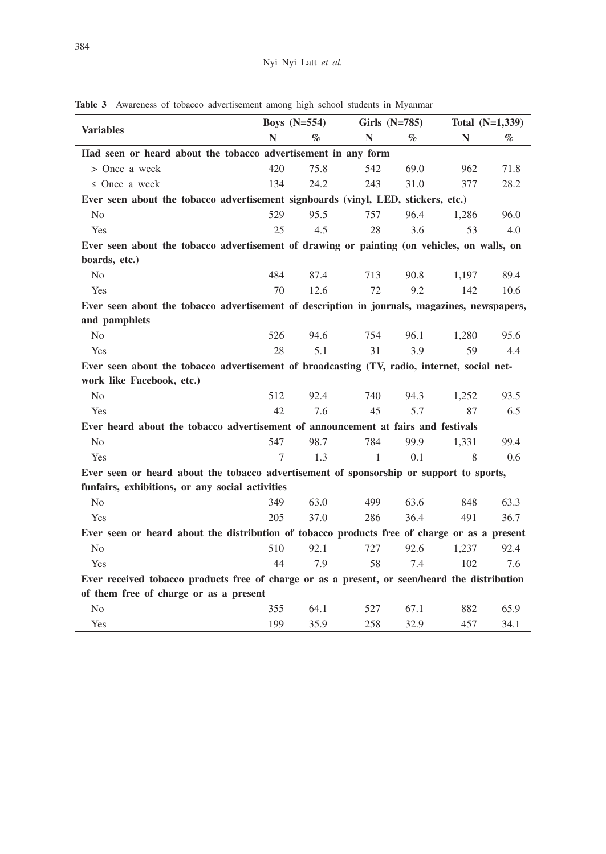|                                                                                               |        | Boys $(N=554)$ |     | Girls (N=785) |              | Total (N=1,339) |  |
|-----------------------------------------------------------------------------------------------|--------|----------------|-----|---------------|--------------|-----------------|--|
| <b>Variables</b>                                                                              | N      | $\%$           | N   | $\%$          | $\mathbb{N}$ | $\%$            |  |
| Had seen or heard about the tobacco advertisement in any form                                 |        |                |     |               |              |                 |  |
| > Once a week                                                                                 | 420    | 75.8           | 542 | 69.0          | 962          | 71.8            |  |
| $\leq$ Once a week                                                                            | 134    | 24.2           | 243 | 31.0          | 377          | 28.2            |  |
| Ever seen about the tobacco advertisement signboards (vinyl, LED, stickers, etc.)             |        |                |     |               |              |                 |  |
| N <sub>o</sub>                                                                                | 529    | 95.5           | 757 | 96.4          | 1.286        | 96.0            |  |
| Yes                                                                                           | 25     | 4.5            | 28  | 3.6           | 53           | 4.0             |  |
| Ever seen about the tobacco advertisement of drawing or painting (on vehicles, on walls, on   |        |                |     |               |              |                 |  |
| boards, etc.)                                                                                 |        |                |     |               |              |                 |  |
| N <sub>o</sub>                                                                                | 484    | 87.4           | 713 | 90.8          | 1,197        | 89.4            |  |
| Yes                                                                                           | 70     | 12.6           | 72  | 9.2           | 142          | 10.6            |  |
| Ever seen about the tobacco advertisement of description in journals, magazines, newspapers,  |        |                |     |               |              |                 |  |
| and pamphlets                                                                                 |        |                |     |               |              |                 |  |
| N <sub>o</sub>                                                                                | 526    | 94.6           | 754 | 96.1          | 1.280        | 95.6            |  |
| Yes                                                                                           | 28     | 5.1            | 31  | 3.9           | 59           | 4.4             |  |
| Ever seen about the tobacco advertisement of broadcasting (TV, radio, internet, social net-   |        |                |     |               |              |                 |  |
| work like Facebook, etc.)                                                                     |        |                |     |               |              |                 |  |
| N <sub>o</sub>                                                                                | 512    | 92.4           | 740 | 94.3          | 1,252        | 93.5            |  |
| Yes                                                                                           | 42     | 7.6            | 45  | 5.7           | 87           | 6.5             |  |
| Ever heard about the tobacco advertisement of announcement at fairs and festivals             |        |                |     |               |              |                 |  |
| N <sub>0</sub>                                                                                | 547    | 98.7           | 784 | 99.9          | 1.331        | 99.4            |  |
| Yes                                                                                           | $\tau$ | 1.3            | 1   | 0.1           | 8            | 0.6             |  |
| Ever seen or heard about the tobacco advertisement of sponsorship or support to sports,       |        |                |     |               |              |                 |  |
| funfairs, exhibitions, or any social activities                                               |        |                |     |               |              |                 |  |
| N <sub>0</sub>                                                                                | 349    | 63.0           | 499 | 63.6          | 848          | 63.3            |  |
| Yes                                                                                           | 205    | 37.0           | 286 | 36.4          | 491          | 36.7            |  |
| Ever seen or heard about the distribution of tobacco products free of charge or as a present  |        |                |     |               |              |                 |  |
| N <sub>0</sub>                                                                                | 510    | 92.1           | 727 | 92.6          | 1.237        | 92.4            |  |
| Yes                                                                                           | 44     | 7.9            | 58  | 7.4           | 102          | 7.6             |  |
| Ever received tobacco products free of charge or as a present, or seen/heard the distribution |        |                |     |               |              |                 |  |
| of them free of charge or as a present                                                        |        |                |     |               |              |                 |  |
| N <sub>o</sub>                                                                                | 355    | 64.1           | 527 | 67.1          | 882          | 65.9            |  |
| Yes                                                                                           | 199    | 35.9           | 258 | 32.9          | 457          | 34.1            |  |

**Table 3** Awareness of tobacco advertisement among high school students in Myanmar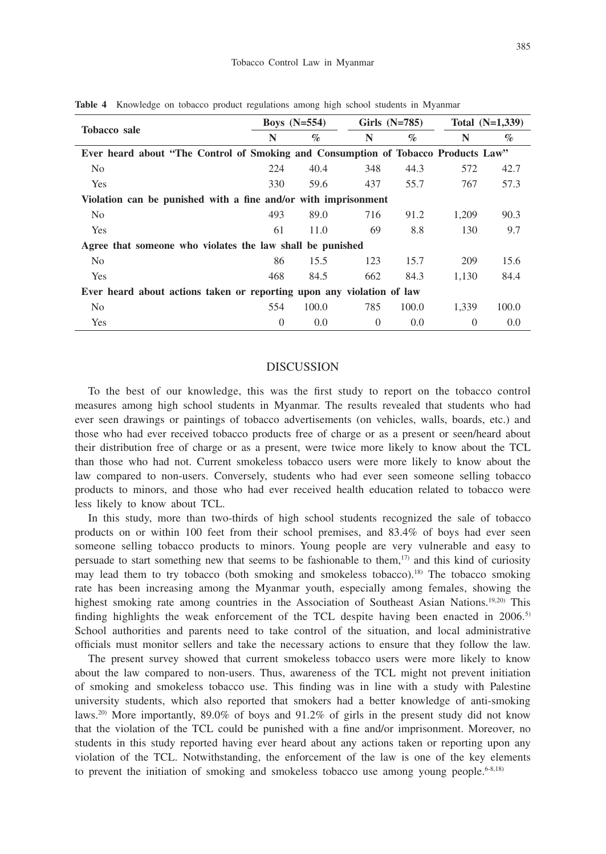|                                                                                   | Boys $(N=554)$ |       | Girls $(N=785)$ |       | Total $(N=1,339)$ |       |  |  |  |
|-----------------------------------------------------------------------------------|----------------|-------|-----------------|-------|-------------------|-------|--|--|--|
| <b>Tobacco</b> sale                                                               | N              | $\%$  | N               | $\%$  | N                 | $\%$  |  |  |  |
| Ever heard about "The Control of Smoking and Consumption of Tobacco Products Law" |                |       |                 |       |                   |       |  |  |  |
| N <sub>0</sub>                                                                    | 224            | 40.4  | 348             | 44.3  | 572               | 42.7  |  |  |  |
| Yes                                                                               | 330            | 59.6  | 437             | 55.7  | 767               | 57.3  |  |  |  |
| Violation can be punished with a fine and/or with imprisonment                    |                |       |                 |       |                   |       |  |  |  |
| N <sub>o</sub>                                                                    | 493            | 89.0  | 716             | 91.2  | 1,209             | 90.3  |  |  |  |
| Yes                                                                               | 61             | 11.0  | 69              | 8.8   | 130               | 9.7   |  |  |  |
| Agree that someone who violates the law shall be punished                         |                |       |                 |       |                   |       |  |  |  |
| N <sub>0</sub>                                                                    | 86             | 15.5  | 123             | 15.7  | 209               | 15.6  |  |  |  |
| Yes                                                                               | 468            | 84.5  | 662             | 84.3  | 1.130             | 84.4  |  |  |  |
| Ever heard about actions taken or reporting upon any violation of law             |                |       |                 |       |                   |       |  |  |  |
| N <sub>0</sub>                                                                    | 554            | 100.0 | 785             | 100.0 | 1.339             | 100.0 |  |  |  |
| Yes                                                                               | $\Omega$       | 0.0   | $\Omega$        | 0.0   | $\Omega$          | 0.0   |  |  |  |

**Table 4** Knowledge on tobacco product regulations among high school students in Myanmar

## DISCUSSION

To the best of our knowledge, this was the first study to report on the tobacco control measures among high school students in Myanmar. The results revealed that students who had ever seen drawings or paintings of tobacco advertisements (on vehicles, walls, boards, etc.) and those who had ever received tobacco products free of charge or as a present or seen/heard about their distribution free of charge or as a present, were twice more likely to know about the TCL than those who had not. Current smokeless tobacco users were more likely to know about the law compared to non-users. Conversely, students who had ever seen someone selling tobacco products to minors, and those who had ever received health education related to tobacco were less likely to know about TCL.

In this study, more than two-thirds of high school students recognized the sale of tobacco products on or within 100 feet from their school premises, and 83.4% of boys had ever seen someone selling tobacco products to minors. Young people are very vulnerable and easy to persuade to start something new that seems to be fashionable to them, $17$ ) and this kind of curiosity may lead them to try tobacco (both smoking and smokeless tobacco).18) The tobacco smoking rate has been increasing among the Myanmar youth, especially among females, showing the highest smoking rate among countries in the Association of Southeast Asian Nations.<sup>19,20)</sup> This finding highlights the weak enforcement of the TCL despite having been enacted in  $2006$ .<sup>5)</sup> School authorities and parents need to take control of the situation, and local administrative officials must monitor sellers and take the necessary actions to ensure that they follow the law.

The present survey showed that current smokeless tobacco users were more likely to know about the law compared to non-users. Thus, awareness of the TCL might not prevent initiation of smoking and smokeless tobacco use. This finding was in line with a study with Palestine university students, which also reported that smokers had a better knowledge of anti-smoking laws.20) More importantly, 89.0% of boys and 91.2% of girls in the present study did not know that the violation of the TCL could be punished with a fine and/or imprisonment. Moreover, no students in this study reported having ever heard about any actions taken or reporting upon any violation of the TCL. Notwithstanding, the enforcement of the law is one of the key elements to prevent the initiation of smoking and smokeless tobacco use among young people.<sup>6-8,18)</sup>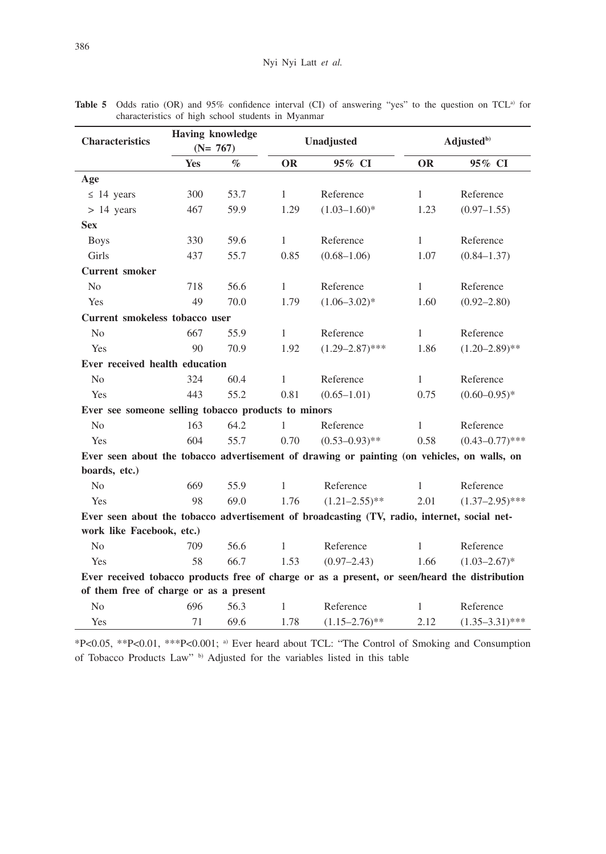| <b>Characteristics</b>                                                                        |     | <b>Having knowledge</b><br>$(N= 767)$ |              | Unadjusted          | Adjusted <sup>b)</sup> |                     |  |
|-----------------------------------------------------------------------------------------------|-----|---------------------------------------|--------------|---------------------|------------------------|---------------------|--|
|                                                                                               | Yes | $\%$<br><b>OR</b><br>95% CI           |              | <b>OR</b>           | 95% CI                 |                     |  |
| Age                                                                                           |     |                                       |              |                     |                        |                     |  |
| $\leq$ 14 years                                                                               | 300 | 53.7                                  | $\mathbf{1}$ | Reference           | $\mathbf{1}$           | Reference           |  |
| $> 14$ years                                                                                  | 467 | 59.9                                  | 1.29         | $(1.03 - 1.60)^*$   | 1.23                   | $(0.97-1.55)$       |  |
| <b>Sex</b>                                                                                    |     |                                       |              |                     |                        |                     |  |
| <b>Boys</b>                                                                                   | 330 | 59.6                                  | $\mathbf{1}$ | Reference           | $\mathbf{1}$           | Reference           |  |
| Girls                                                                                         | 437 | 55.7                                  | 0.85         | $(0.68 - 1.06)$     | 1.07                   | $(0.84 - 1.37)$     |  |
| <b>Current smoker</b>                                                                         |     |                                       |              |                     |                        |                     |  |
| N <sub>o</sub>                                                                                | 718 | 56.6                                  | $\mathbf{1}$ | Reference           | $\mathbf{1}$           | Reference           |  |
| <b>Yes</b>                                                                                    | 49  | 70.0                                  | 1.79         | $(1.06 - 3.02)^*$   | 1.60                   | $(0.92 - 2.80)$     |  |
| Current smokeless tobacco user                                                                |     |                                       |              |                     |                        |                     |  |
| N <sub>o</sub>                                                                                | 667 | 55.9                                  | $\mathbf{1}$ | Reference           | $\mathbf{1}$           | Reference           |  |
| Yes                                                                                           | 90  | 70.9                                  | 1.92         | $(1.29 - 2.87)$ *** | 1.86                   | $(1.20 - 2.89)$ **  |  |
| Ever received health education                                                                |     |                                       |              |                     |                        |                     |  |
| N <sub>o</sub>                                                                                | 324 | 60.4                                  | 1            | Reference           | 1                      | Reference           |  |
| Yes                                                                                           | 443 | 55.2                                  | 0.81         | $(0.65 - 1.01)$     | 0.75                   | $(0.60 - 0.95)^*$   |  |
| Ever see someone selling tobacco products to minors                                           |     |                                       |              |                     |                        |                     |  |
| N <sub>o</sub>                                                                                | 163 | 64.2                                  | 1            | Reference           | 1                      | Reference           |  |
| Yes                                                                                           | 604 | 55.7                                  | 0.70         | $(0.53 - 0.93)$ **  | 0.58                   | $(0.43 - 0.77)$ *** |  |
| Ever seen about the tobacco advertisement of drawing or painting (on vehicles, on walls, on   |     |                                       |              |                     |                        |                     |  |
| boards, etc.)                                                                                 |     |                                       |              |                     |                        |                     |  |
| N <sub>0</sub>                                                                                | 669 | 55.9                                  | $\mathbf{1}$ | Reference           | 1                      | Reference           |  |
| Yes                                                                                           | 98  | 69.0                                  | 1.76         | $(1.21 - 2.55)$ **  | 2.01                   | $(1.37-2.95)$ ***   |  |
| Ever seen about the tobacco advertisement of broadcasting (TV, radio, internet, social net-   |     |                                       |              |                     |                        |                     |  |
| work like Facebook, etc.)                                                                     |     |                                       |              |                     |                        |                     |  |
| N <sub>0</sub>                                                                                | 709 | 56.6                                  | $\mathbf{1}$ | Reference           | 1                      | Reference           |  |
| Yes                                                                                           | 58  | 66.7                                  | 1.53         | $(0.97 - 2.43)$     | 1.66                   | $(1.03 - 2.67)^*$   |  |
| Ever received tobacco products free of charge or as a present, or seen/heard the distribution |     |                                       |              |                     |                        |                     |  |
| of them free of charge or as a present                                                        |     |                                       |              |                     |                        |                     |  |
| N <sub>0</sub>                                                                                | 696 | 56.3                                  | $\mathbf{1}$ | Reference           | 1                      | Reference           |  |
| Yes                                                                                           | 71  | 69.6                                  | 1.78         | $(1.15 - 2.76)$ **  | 2.12                   | $(1.35 - 3.31)$ *** |  |

Table 5 Odds ratio (OR) and 95% confidence interval (CI) of answering "yes" to the question on TCL<sup>a)</sup> for characteristics of high school students in Myanmar

\*P<0.05, \*\*P<0.01, \*\*\*P<0.001; a) Ever heard about TCL: "The Control of Smoking and Consumption of Tobacco Products Law" b) Adjusted for the variables listed in this table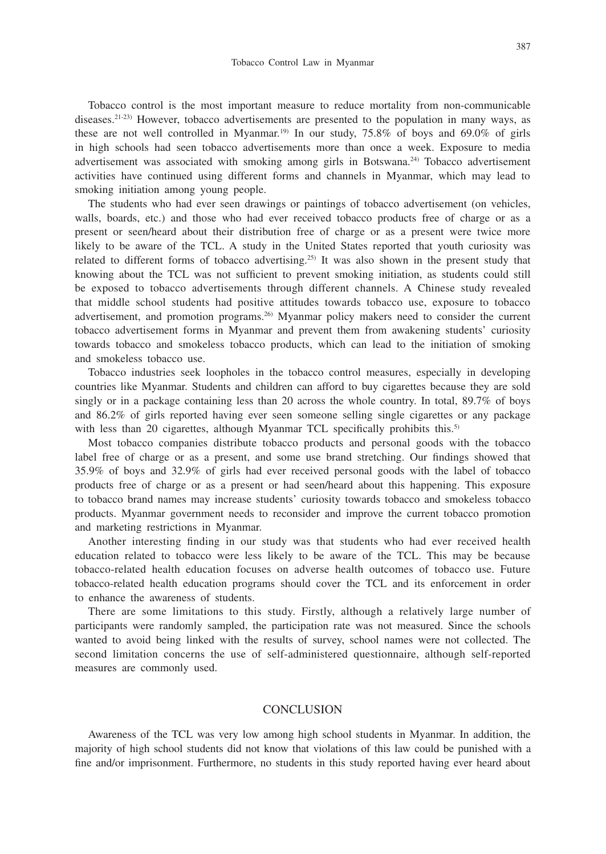387

Tobacco control is the most important measure to reduce mortality from non-communicable diseases.21-23) However, tobacco advertisements are presented to the population in many ways, as these are not well controlled in Myanmar.<sup>19)</sup> In our study,  $75.8\%$  of boys and  $69.0\%$  of girls in high schools had seen tobacco advertisements more than once a week. Exposure to media advertisement was associated with smoking among girls in Botswana.<sup>24)</sup> Tobacco advertisement activities have continued using different forms and channels in Myanmar, which may lead to smoking initiation among young people.

The students who had ever seen drawings or paintings of tobacco advertisement (on vehicles, walls, boards, etc.) and those who had ever received tobacco products free of charge or as a present or seen/heard about their distribution free of charge or as a present were twice more likely to be aware of the TCL. A study in the United States reported that youth curiosity was related to different forms of tobacco advertising.25) It was also shown in the present study that knowing about the TCL was not sufficient to prevent smoking initiation, as students could still be exposed to tobacco advertisements through different channels. A Chinese study revealed that middle school students had positive attitudes towards tobacco use, exposure to tobacco advertisement, and promotion programs.26) Myanmar policy makers need to consider the current tobacco advertisement forms in Myanmar and prevent them from awakening students' curiosity towards tobacco and smokeless tobacco products, which can lead to the initiation of smoking and smokeless tobacco use.

Tobacco industries seek loopholes in the tobacco control measures, especially in developing countries like Myanmar. Students and children can afford to buy cigarettes because they are sold singly or in a package containing less than 20 across the whole country. In total, 89.7% of boys and 86.2% of girls reported having ever seen someone selling single cigarettes or any package with less than 20 cigarettes, although Myanmar TCL specifically prohibits this.<sup>5)</sup>

Most tobacco companies distribute tobacco products and personal goods with the tobacco label free of charge or as a present, and some use brand stretching. Our findings showed that 35.9% of boys and 32.9% of girls had ever received personal goods with the label of tobacco products free of charge or as a present or had seen/heard about this happening. This exposure to tobacco brand names may increase students' curiosity towards tobacco and smokeless tobacco products. Myanmar government needs to reconsider and improve the current tobacco promotion and marketing restrictions in Myanmar.

Another interesting finding in our study was that students who had ever received health education related to tobacco were less likely to be aware of the TCL. This may be because tobacco-related health education focuses on adverse health outcomes of tobacco use. Future tobacco-related health education programs should cover the TCL and its enforcement in order to enhance the awareness of students.

There are some limitations to this study. Firstly, although a relatively large number of participants were randomly sampled, the participation rate was not measured. Since the schools wanted to avoid being linked with the results of survey, school names were not collected. The second limitation concerns the use of self-administered questionnaire, although self-reported measures are commonly used.

## **CONCLUSION**

Awareness of the TCL was very low among high school students in Myanmar. In addition, the majority of high school students did not know that violations of this law could be punished with a fine and/or imprisonment. Furthermore, no students in this study reported having ever heard about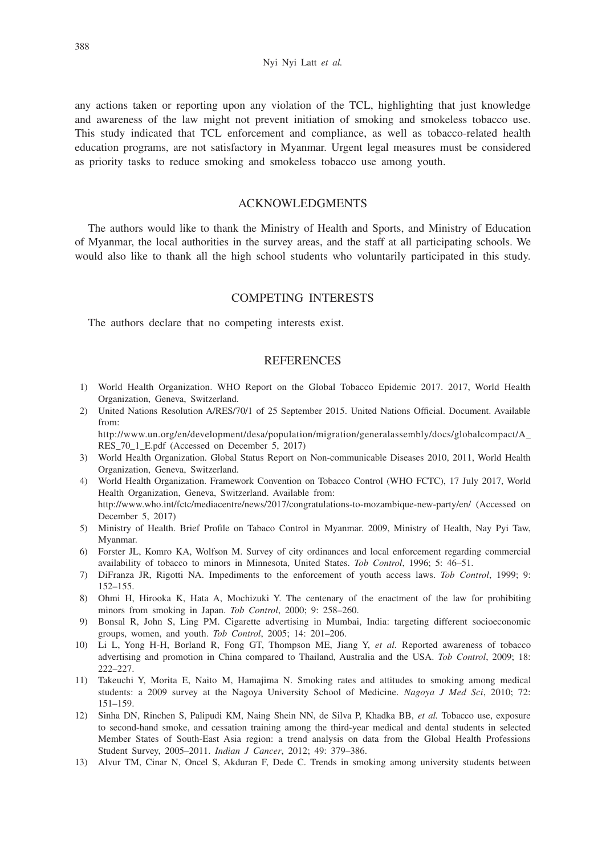any actions taken or reporting upon any violation of the TCL, highlighting that just knowledge and awareness of the law might not prevent initiation of smoking and smokeless tobacco use. This study indicated that TCL enforcement and compliance, as well as tobacco-related health education programs, are not satisfactory in Myanmar. Urgent legal measures must be considered as priority tasks to reduce smoking and smokeless tobacco use among youth.

# ACKNOWLEDGMENTS

The authors would like to thank the Ministry of Health and Sports, and Ministry of Education of Myanmar, the local authorities in the survey areas, and the staff at all participating schools. We would also like to thank all the high school students who voluntarily participated in this study.

## COMPETING INTERESTS

The authors declare that no competing interests exist.

## **REFERENCES**

- 1) World Health Organization. WHO Report on the Global Tobacco Epidemic 2017. 2017, World Health Organization, Geneva, Switzerland.
- 2) United Nations Resolution A/RES/70/1 of 25 September 2015. United Nations Official. Document. Available from: http://www.un.org/en/development/desa/population/migration/generalassembly/docs/globalcompact/A\_
- RES 70\_1\_E.pdf (Accessed on December 5, 2017) 3) World Health Organization. Global Status Report on Non-communicable Diseases 2010, 2011, World Health Organization, Geneva, Switzerland.
- 4) World Health Organization. Framework Convention on Tobacco Control (WHO FCTC), 17 July 2017, World Health Organization, Geneva, Switzerland. Available from: http://www.who.int/fctc/mediacentre/news/2017/congratulations-to-mozambique-new-party/en/ (Accessed on
- December 5, 2017)
- 5) Ministry of Health. Brief Profile on Tabaco Control in Myanmar. 2009, Ministry of Health, Nay Pyi Taw, Myanmar.
- 6) Forster JL, Komro KA, Wolfson M. Survey of city ordinances and local enforcement regarding commercial availability of tobacco to minors in Minnesota, United States. *Tob Control*, 1996; 5: 46–51.
- 7) DiFranza JR, Rigotti NA. Impediments to the enforcement of youth access laws. *Tob Control*, 1999; 9: 152–155.
- 8) Ohmi H, Hirooka K, Hata A, Mochizuki Y. The centenary of the enactment of the law for prohibiting minors from smoking in Japan. *Tob Control*, 2000; 9: 258–260.
- 9) Bonsal R, John S, Ling PM. Cigarette advertising in Mumbai, India: targeting different socioeconomic groups, women, and youth. *Tob Control*, 2005; 14: 201–206.
- 10) Li L, Yong H-H, Borland R, Fong GT, Thompson ME, Jiang Y, *et al.* Reported awareness of tobacco advertising and promotion in China compared to Thailand, Australia and the USA. *Tob Control*, 2009; 18: 222–227.
- 11) Takeuchi Y, Morita E, Naito M, Hamajima N. Smoking rates and attitudes to smoking among medical students: a 2009 survey at the Nagoya University School of Medicine. *Nagoya J Med Sci*, 2010; 72: 151–159.
- 12) Sinha DN, Rinchen S, Palipudi KM, Naing Shein NN, de Silva P, Khadka BB, *et al.* Tobacco use, exposure to second-hand smoke, and cessation training among the third-year medical and dental students in selected Member States of South-East Asia region: a trend analysis on data from the Global Health Professions Student Survey, 2005–2011. *Indian J Cancer*, 2012; 49: 379–386.
- 13) Alvur TM, Cinar N, Oncel S, Akduran F, Dede C. Trends in smoking among university students between